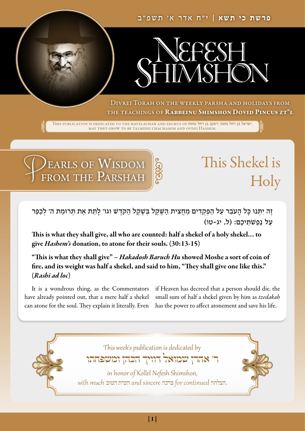

Divrei Torah on the weekly parsha and holidays from THE TEACHINGS OF RABBEINU SHIMSHON DOVID PINCUS ZT"L

This publication is dedicated to the hatzlachah and zechus of נחמה רחל בן ויעקב נחמה רחל בן ישראל. may they grow to be talmidei chachamim and ovdei Hashem.

EARLS OF WISDOM FROM THE PARSHAH

# This Shekel is Holy

ָזָה יִתְּנוּ כָּל הָעֹבֵר עַל הַפְּקָדִים מַחֲצִית הַשֶּׁקֶל בְּשֶׁקֶל הַקֹּדֶשׁ וגו׳ לָתֵת אֶת תְּרוּמַת ה׳ לְכַפֵּר ׁׁ ֦֧<u>֡</u> ֹ תֵיכֶם: (ל, יג-טו) ์<br>:<br>: ֿעַל נַפְש

This is what they shall give, all who are counted: half a shekel of a holy shekel… to give *Hashem's* donation, to atone for their souls. (30:13-15)

"This is what they shall give" – *Hakadosh Baruch Hu* showed Moshe a sort of coin of fire, and its weight was half a shekel, and said to him, "They shall give one like this." (*Rashi ad loc*)

It is a wondrous thing, as the Commentators have already pointed out, that a mere half a shekel can atone for the soul. They explain it literally. Even

if Heaven has decreed that a person should die, the small sum of half a shekel given by him as *tzedakah*  has the power to affect atonement and save his life.

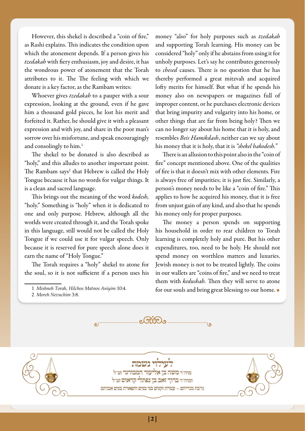However, this shekel is described a "coin of fire," as Rashi explains. This indicates the condition upon which the atonement depends. If a person gives his *tzedakah* with fiery enthusiasm, joy and desire, it has the wondrous power of atonement that the Torah attributes to it. The The feeling with which we donate is a key factor, as the Rambam writes:

Whoever gives *tzedakah* to a pauper with a sour expression, looking at the ground, even if he gave him a thousand gold pieces, he lost his merit and forfeited it. Rather, he should give it with a pleasant expression and with joy, and share in the poor man's sorrow over his misfortune, and speak encouragingly and consolingly to him.<sup>1</sup>

The shekel to be donated is also described as "holy," and this alludes to another important point. The Rambam says<sup>2</sup> that Hebrew is called the Holy Tongue because it has no words for vulgar things. It is a clean and sacred language.

This brings out the meaning of the word *kodesh,*  "holy." Something is "holy" when it is dedicated to one and only purpose. Hebrew, although all the worlds were created through it, and the Torah spoke in this language, still would not be called the Holy Tongue if we could use it for vulgar speech. Only because it is reserved for pure speech alone does it earn the name of "Holy Tongue."

The Torah requires a "holy" shekel to atone for the soul, so it is not sufficient if a person uses his

 $\mathbf{e}$ 

1 *Mishneh Torah, Hilchos Matnos Aniyim* 10:4. 2 *Moreh Nevuchim* 3:8.

money "also" for holy purposes such as *tzedakah*  and supporting Torah learning. His money can be considered "holy" only if he abstains from using it for unholy purposes. Let's say he contributes generously to *chesed* causes. There is no question that he has thereby performed a great mitzvah and acquired lofty merits for himself. But what if he spends his money also on newspapers or magazines full of improper content, or he purchases electronic devices that bring impurity and vulgarity into his home, or other things that are far from being holy? Then we can no longer say about his home that it is holy, and resembles *Beis Hamikdash*, neither can we say about his money that it is holy, that it is *"shekel hakodesh."* 

There is an allusion to this point also in the "coin of fire" concept mentioned above. One of the qualities of fire is that it doesn't mix with other elements. Fire is always free of impurities; it is just fire. Similarly, a person's money needs to be like a "coin of fire." This applies to how he acquired his money, that it is free from unjust gain of any kind, and also that he spends his money only for proper purposes.

The money a person spends on supporting his household in order to rear children to Torah learning is completely holy and pure. But his other expenditures, too, need to be holy. He should not spend money on worthless matters and luxuries. Jewish money is not to be treated lightly. The coins in our wallets are "coins of fire," and we need to treat them with *kedushah.* Then they will serve to atone for our souls and bring great blessing to our home.  $\bullet$ 

ا ہ



לעילוי נשמת מוה״ר משה בן אליעזר המבורגר זצ״ל ומוה״ר ברוך זאב בן נפתלי קראוס זצ״ל נדבת נכדיהם ~ עטרת זקנים בני בנים ותפארת בנים אבותם

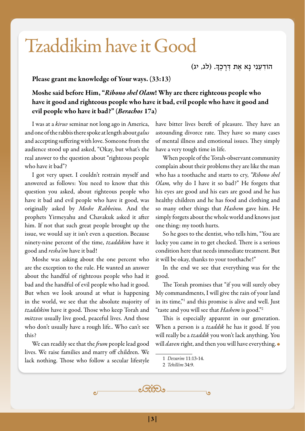# Tzaddikim have it Good

ָהוֹדְעֵנִי נָא אֶת דְּרָכֶךָ. (לג, יג) ֹ

#### Please grant me knowledge of Your ways. (33:13)

Moshe said before Him, "*Ribono shel Olam*! Why are there righteous people who have it good and righteous people who have it bad, evil people who have it good and evil people who have it bad?" (*Berachos* 17a)

I was at a *kiruv* seminar not long ago in America, and one of the rabbis there spoke at length about *galus*  and accepting suffering with love. Someone from the audience stood up and asked, "Okay, but what's the real answer to the question about "righteous people who have it bad"?

I got very upset. I couldn't restrain myself and answered as follows: You need to know that this question you asked, about righteous people who have it bad and evil people who have it good, was originally asked by *Moshe Rabbeinu.* And the prophets Yirmeyahu and Chavakuk asked it after him. If not that such great people brought up the issue, we would say it isn't even a question. Because ninety-nine percent of the time, *tzaddikim* have it good and *resha'im* have it bad!

Moshe was asking about the one percent who are the exception to the rule. He wanted an answer about the handful of righteous people who had it bad and the handful of evil people who had it good. But when we look around at what is happening in the world, we see that the absolute majority of *tzaddikim* have it good. Those who keep Torah and *mitzvos* usually live good, peaceful lives. And those who don't usually have a rough life.. Who can't see this?

We can readily see that the *frum* people lead good lives. We raise families and marry off children. We lack nothing. Those who follow a secular lifestyle

have bitter lives bereft of pleasure. They have an astounding divorce rate. They have so many cases of mental illness and emotional issues. They simply have a very tough time in life.

When people of the Torah-observant community complain about their problems they are like the man who has a toothache and starts to cry, *"Ribono shel Olam,* why do I have it so bad?" He forgets that his eyes are good and his ears are good and he has healthy children and he has food and clothing and so many other things that *Hashem* gave him. He simply forgets about the whole world and knows just one thing: my tooth hurts.

So he goes to the dentist, who tells him, "You are lucky you came in to get checked. There is a serious condition here that needs immediate treatment. But it will be okay, thanks to your toothache!"

In the end we see that everything was for the good.

The Torah promises that "if you will surely obey My commandments, I will give the rain of your land in its time,"1 and this promise is alive and well. Just "taste and you will see that *Hashem* is good."2

This is especially apparent in our generation. When a person is a *tzaddik* he has it good. If you will really be a *tzaddik* you won't lack anything. You will *daven* right, and then you will have everything.

<sup>2</sup> *Tehillim* 34:9.



<sup>1</sup> *Devarim* 11:13-14.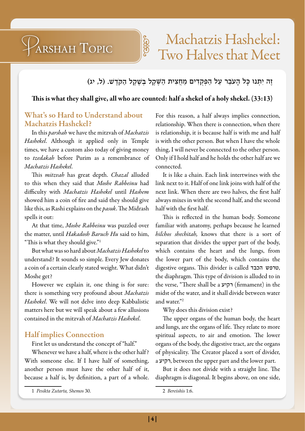### Machatzis Hashekel: Two Halves that Meet

#### ֶׁזֶה יִתְּנוּ כָּל הָעֹבֵר עַל הַפְּקֻדִים מַחֲצִית הַשֶּׁקֶל בְּשֶׁקֶל הַקְדֶשׁ. (ל, יג) ֹ ֦֧<u>֦</u> ׁ ֹ

#### This is what they shall give, all who are counted: half a shekel of a holy shekel. (33:13)

**Jeffels** 

#### What's so Hard to Understand about Machatzis Hashekel?

ARSHAH TOPIC

In this *parshah* we have the mitzvah of *Machatzis Hashekel*. Although it applied only in Temple times, we have a custom also today of giving money to *tzedakah* before Purim as a remembrance of *Machatzis Hashekel*.

This *mitzvah* has great depth. *Chazal* alluded to this when they said that *Moshe Rabbeinu* had difficulty with *Machatzis Hashekel* until *Hashem* showed him a coin of fire and said they should give like this, as Rashi explains on the *pasuk*. The Midrash spells it out:

At that time, *Moshe Rabbeinu* was puzzled over the matter, until *Hakadosh Baruch Hu* said to him, "This is what they should give."1

But what was so hard about *Machatzis Hashekel* to understand? It sounds so simple. Every Jew donates a coin of a certain clearly stated weight. What didn't Moshe get?

However we explain it, one thing is for sure: there is something very profound about *Machatzis Hashekel*. We will not delve into deep Kabbalistic matters here but we will speak about a few allusions contained in the mitzvah of *Machatzis Hashekel*.

#### Half implies Connection

First let us understand the concept of "half."

Whenever we have a half, where is the other half ? With someone else. If I have half of something, another person must have the other half of it, because a half is, by definition, a part of a whole. For this reason, a half always implies connection, relationship. When there is connection, when there is relationship, it is because half is with me and half is with the other person. But when I have the whole thing, I will never be connected to the other person. Only if I hold half and he holds the other half are we connected.

It is like a chain. Each link intertwines with the link next to it. Half of one link joins with half of the next link. When there are two halves, the first half always mixes in with the second half, and the second half with the first half.

This is reflected in the human body. Someone familiar with anatomy, perhaps because he learned *hilchos shechitah,* knows that there is a sort of separation that divides the upper part of the body, which contains the heart and the lungs, from the lower part of the body, which contains the digestive organs. This divider is called הכבד טרפש, the diaphragm. This type of division is alluded to in the verse, "There shall be a רקיע) firmament) in the midst of the water, and it shall divide between water and water."2

Why does this division exist?

The upper organs of the human body, the heart and lungs, are the organs of life. They relate to more spiritual aspects, to air and emotion. The lower organs of the body, the digestive tract, are the organs of physicality. The Creator placed a sort of divider, a רקיע, between the upper part and the lower part.

But it does not divide with a straight line. The diaphragm is diagonal. It begins above, on one side,

<sup>1</sup> *Pesikta Zutarta, Shemos* 30.

<sup>2</sup> *Bereishis* 1:6.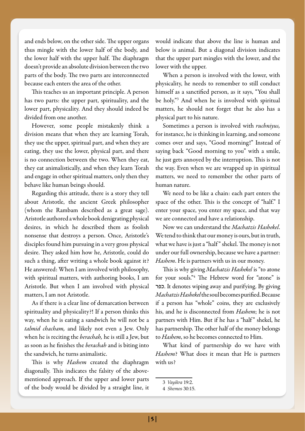and ends below, on the other side. The upper organs thus mingle with the lower half of the body, and the lower half with the upper half. The diaphragm doesn't provide an absolute division between the two parts of the body. The two parts are interconnected because each enters the area of the other.

This teaches us an important principle. A person has two parts: the upper part, spirituality, and the lower part, physicality. And they should indeed be divided from one another.

However, some people mistakenly think a division means that when they are learning Torah, they use the upper, spiritual part, and when they are eating, they use the lower, physical part, and there is no connection between the two. When they eat, they eat animalistically, and when they learn Torah and engage in other spiritual matters, only then they behave like human beings should.

Regarding this attitude, there is a story they tell about Aristotle, the ancient Greek philosopher (whom the Rambam described as a great sage). Aristotle authored a whole book denigrating physical desires, in which he described them as foolish nonsense that destroys a person. Once, Aristotle's disciples found him pursuing in a very gross physical desire. They asked him how he, Aristotle, could do such a thing, after writing a whole book against it? He answered: When I am involved with philosophy, with spiritual matters, with authoring books, I am Aristotle. But when I am involved with physical matters, I am not Aristotle.

As if there is a clear line of demarcation between spirituality and physicality?! If a person thinks this way, when he is eating a sandwich he will not be a *talmid chacham,* and likely not even a Jew. Only when he is reciting the *berachah,* he is still a Jew, but as soon as he finishes the *berachah* and is biting into the sandwich, he turns animalistic.

This is why *Hashem* created the diaphragm diagonally. This indicates the falsity of the abovementioned approach. If the upper and lower parts of the body would be divided by a straight line, it would indicate that above the line is human and below is animal. But a diagonal division indicates that the upper part mingles with the lower, and the lower with the upper.

When a person is involved with the lower, with physicality, he needs to remember to still conduct himself as a sanctified person, as it says, "You shall be holy."3 And when he is involved with spiritual matters, he should not forget that he also has a physical part to his nature.

Sometimes a person is involved with *ruchniyus,*  for instance, he is thinking in learning, and someone comes over and says, "Good morning!" Instead of saying back "Good morning to you" with a smile, he just gets annoyed by the interruption. This is not the way. Even when we are wrapped up in spiritual matters, we need to remember the other parts of human nature.

We need to be like a chain: each part enters the space of the other. This is the concept of "half." I enter your space, you enter my space, and that way we are connected and have a relationship.

Now we can understand the *Machatzis Hashekel*. We tend to think that our money is ours, but in truth, what we have is just a "half " shekel. The money is not under our full ownership, because we have a partner: *Hashem*. He is partners with us in our money.

This is why giving *Machatzis Hashekel* is "to atone for your souls."4 The Hebrew word for "atone" is כפר. It denotes wiping away and purifying. By giving *Machatzis Hashekel* the soul becomes purified. Because if a person has "whole" coins, they are exclusively his, and he is disconnected from *Hashem*; he is not partners with Him. But if he has a "half" shekel, he has partnership. The other half of the money belongs to *Hashem*, so he becomes connected to Him.

What kind of partnership do we have with *Hashem*? What does it mean that He is partners with us?

<sup>3</sup> *Vayikra* 19:2.

<sup>4</sup> *Shemos* 30:15.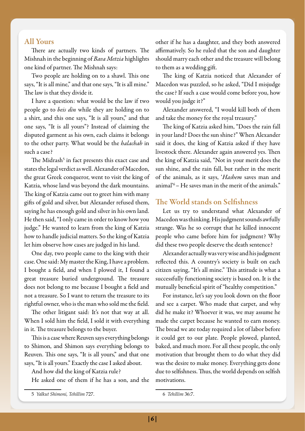#### All Yours

There are actually two kinds of partners. The Mishnah in the beginning of *Bava Metzia* highlights one kind of partner. The Mishnah says:

Two people are holding on to a shawl. This one says, "It is all mine," and that one says, "It is all mine." The law is that they divide it.

I have a question: what would be the law if two people go to *beis din* while they are holding on to a shirt, and this one says, "It is all yours," and that one says, "It is all yours"? Instead of claiming the disputed garment as his own, each claims it belongs to the other party. What would be the *halachah* in such a case?

The Midrash<sup>5</sup> in fact presents this exact case and states the legal verdict as well. Alexander of Macedon, the great Greek conqueror, went to visit the king of Katzia, whose land was beyond the dark mountains. The king of Katzia came out to greet him with many gifts of gold and silver, but Alexander refused them, saying he has enough gold and silver in his own land. He then said, "I only came in order to know how you judge." He wanted to learn from the king of Katzia how to handle judicial matters. So the king of Katzia let him observe how cases are judged in his land.

One day, two people came to the king with their case. One said: My master the King, I have a problem. I bought a field, and when I plowed it, I found a great treasure buried underground. The treasure does not belong to me because I bought a field and not a treasure. So I want to return the treasure to its rightful owner, who is the man who sold me the field.

The other litigant said: It's not that way at all. When I sold him the field, I sold it with everything in it. The treasure belongs to the buyer.

This is a case where Reuven says everything belongs to Shimon, and Shimon says everything belongs to Reuven. This one says, "It is all yours," and that one says, "It is all yours." Exactly the case I asked about.

And how did the king of Katzia rule?

He asked one of them if he has a son, and the

other if he has a daughter, and they both answered affirmatively. So he ruled that the son and daughter should marry each other and the treasure will belong to them as a wedding gift.

The king of Katzia noticed that Alexander of Macedon was puzzled, so he asked, "Did I misjudge the case? If such a case would come before you, how would you judge it?"

Alexander answered, "I would kill both of them and take the money for the royal treasury."

The king of Katzia asked him, "Does the rain fall in your land? Does the sun shine?" When Alexander said it does, the king of Katzia asked if they have livestock there. Alexander again answered yes. Then the king of Katzia said, "Not in your merit does the sun shine, and the rain fall, but rather in the merit of the animals, as it says, '*Hashem* saves man and animal'6– He saves man in the merit of the animals."

#### The World stands on Selfishness

Let us try to understand what Alexander of Macedon was thinking. His judgment sounds awfully strange. Was he so corrupt that he killed innocent people who came before him for judgment? Why did these two people deserve the death sentence?

Alexander actually was very wise and his judgment reflected this. A country's society is built on each citizen saying, "It's all mine." This attitude is what a successfully functioning society is based on. It is the mutually beneficial spirit of "healthy competition."

For instance, let's say you look down on the floor and see a carpet. Who made that carpet, and why did he make it? Whoever it was, we may assume he made the carpet because he wanted to earn money. The bread we ate today required a lot of labor before it could get to our plate. People plowed, planted, baked, and much more. For all these people, the only motivation that brought them to do what they did was the desire to make money. Everything gets done due to selfishness. Thus, the world depends on selfish motivations.

<sup>5</sup> *Yalkut Shimoni, Tehillim* 727.

<sup>6</sup> *Tehillim* 36:7.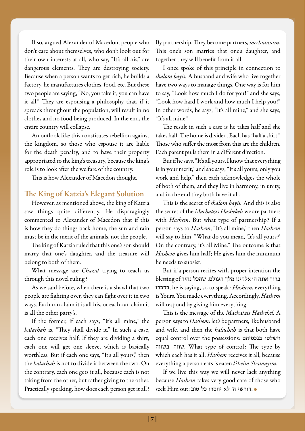If so, argued Alexander of Macedon, people who don't care about themselves, who don't look out for their own interests at all, who say, "It's all his," are dangerous elements. They are destroying society. Because when a person wants to get rich, he builds a factory, he manufactures clothes, food, etc. But these two people are saying, "No, you take it, you can have it all." They are espousing a philosophy that, if it spreads throughout the population, will result in no clothes and no food being produced. In the end, the entire country will collapse.

An outlook like this constitutes rebellion against the kingdom, so those who espouse it are liable for the death penalty, and to have their property appropriated to the king's treasury, because the king's role is to look after the welfare of the country.

This is how Alexander of Macedon thought.

### The King of Katzia's Elegant Solution

However, as mentioned above, the king of Katzia saw things quite differently. He disparagingly commented to Alexander of Macedon that if this is how they do things back home, the sun and rain must be in the merit of the animals, not the people.

The king of Katzia ruled that this one's son should marry that one's daughter, and the treasure will belong to both of them.

What message are *Chazal* trying to teach us through this novel ruling?

As we said before, when there is a shawl that two people are fighting over, they can fight over it in two ways. Each can claim it is all his, or each can claim it is all the other party's.

If the former, if each says, "It's all mine," the *halachah* is, "They shall divide it." In such a case, each one receives half. If they are dividing a shirt, each one will get one sleeve, which is basically worthless. But if each one says, "It's all yours," then the *halachah* is not to divide it between the two. On the contrary, each one gets it all, because each is not taking from the other, but rather giving to the other. Practically speaking, how does each person get it all?

By partnership. They become partners, *mechutanim.*  This one's son marries that one's daughter, and together they will benefit from it all.

I once spoke of this principle in connection to *shalom bayis.* A husband and wife who live together have two ways to manage things. One way is for him to say, "Look how much I do for you!" and she says, "Look how hard I work and how much I help you!" In other words, he says, "It's all mine," and she says, "It's all mine."

The result in such a case is he takes half and she takes half. The home is divided. Each has "half a shirt." Those who suffer the most from this are the children. Each parent pulls them in a different direction.

But if he says, "It's all yours, I know that everything is in your merit," and she says, "It's all yours, only you work and help," then each acknowledges the whole of both of them, and they live in harmony, in unity, and in the end they both have it all.

This is the secret of *shalom bayis.* And this is also the secret of the *Machatzis Hashekel*: we are partners with *Hashem*. But what type of partnership? If a person says to *Hashem*, "It's all mine," then *Hashem* will say to him, "What do you mean, 'It's all yours?' On the contrary, it's all Mine." The outcome is that *Hashem* gives him half; He gives him the minimum he needs to subsist.

But if a person recites with proper intention the ברוך אתה ה' אלקינו מלך העולם, שהכל נהיה of blessing בדברו, he is saying, so to speak: *Hashem*, everything is Yours. You made everything. Accordingly, *Hashem* will respond by giving him everything.

This is the message of the *Machatzis Hashekel.* A person says to *Hashem*: let's be partners, like husband and wife, and then the *halachah* is that both have equal control over the possessions: בנכסיהם וישלטו בשווה שווה. What type of control? The type by which each has it all. *Hashem* receives it all, because everything a person eats is eaten *l'sheim Shamayim*.

If we live this way we will never lack anything because *Hashem* takes very good care of those who  $\operatorname{seek}$ Him out: דורשי ה' לא יחסרו כל טוב.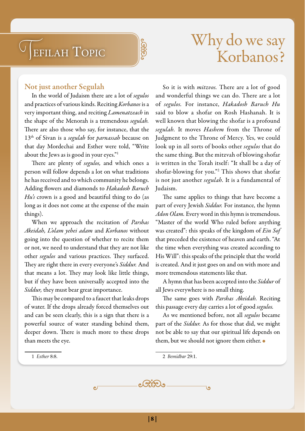## Tefilah Topic



### Why do we say Korbanos?

#### Not just another Segulah

In the world of Judaism there are a lot of *segulos*  and practices of various kinds. Reciting *Korbanos* is a very important thing, and reciting *Lamenatzeach* in the shape of the Menorah is a tremendous *segulah.*  There are also those who say, for instance, that the 13th of Sivan is a *segulah* for *parnassah* because on that day Mordechai and Esther were told, "Write about the Jews as is good in your eyes."1

There are plenty of *segulos,* and which ones a person will follow depends a lot on what traditions he has received and to which community he belongs. Adding flowers and diamonds to *Hakadosh Baruch Hu's* crown is a good and beautiful thing to do (as long as it does not come at the expense of the main things).

When we approach the recitation of *Parshas Akeidah, L'olam yehei adam* and *Korbanos* without going into the question of whether to recite them or not, we need to understand that they are not like other *segulos* and various practices. They surfaced. They are right there in every everyone's *Siddur.* And that means a lot. They may look like little things, but if they have been universally accepted into the *Siddur,* they must bear great importance.

This may be compared to a faucet that leaks drops of water. If the drops already forced themselves out and can be seen clearly, this is a sign that there is a powerful source of water standing behind them, deeper down. There is much more to these drops than meets the eye.

So it is with *mitzvos.* There are a lot of good and wonderful things we can do. There are a lot of *segulos.* For instance, *Hakadosh Baruch Hu* said to blow a shofar on Rosh Hashanah. It is well known that blowing the shofar is a profound *segulah.* It moves *Hashem* from the Throne of Judgment to the Throne of Mercy. Yes, we could look up in all sorts of books other *segulos* that do the same thing. But the mitzvah of blowing shofar is written in the Torah itself: "It shall be a day of shofar-blowing for you."2 This shows that shofar is not just another *segulah.* It is a fundamental of Judaism.

The same applies to things that have become a part of every Jewish *Siddur.* For instance, the hymn *Adon Olam.* Every word in this hymn is tremendous. "Master of the world Who ruled before anything was created": this speaks of the kingdom of *Ein Sof*  that preceded the existence of heaven and earth. "At the time when everything was created according to His Will": this speaks of the principle that the world is created. And it just goes on and on with more and more tremendous statements like that.

A hymn that has been accepted into the *Siddur* of all Jews everywhere is no small thing.

The same goes with *Parshas Akeidah.* Reciting this passage every day carries a lot of good *segulos.* 

As we mentioned before, not all *segulos* became part of the *Siddur.* As for those that did, we might not be able to say that our spiritual life depends on them, but we should not ignore them either.  $\bullet$ 

1 *Esther* 8:8.

2 *Bemidbar* 29:1.